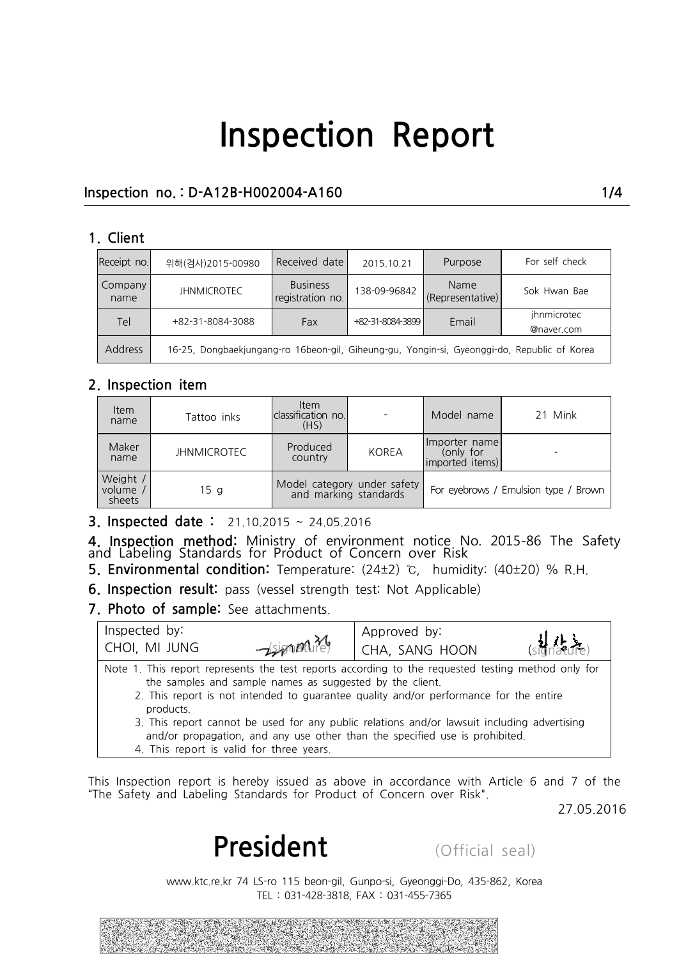### **Inspection no. : D-A12B-H002004-A160 1/4**

#### **1. Client**

| Receipt no.     | 위해(검사)2015-00980                                                                            | Received date                                                                   | 2015 10 21       | Purpose      | For self check            |  |
|-----------------|---------------------------------------------------------------------------------------------|---------------------------------------------------------------------------------|------------------|--------------|---------------------------|--|
| Company<br>name | <b>JHNMICROTEC</b>                                                                          | <b>Business</b><br>Name<br>138-09-96842<br>registration no.<br>(Representative) |                  | Sok Hwan Bae |                           |  |
| <b>Tel</b>      | +82-31-8084-3088                                                                            | Fax                                                                             | +82-31-8084-3899 | Email        | ihnmicrotec<br>@naver.com |  |
| <b>Address</b>  | 16-25, Dongbaekjungang-ro 16beon-gil, Giheung-gu, Yongin-si, Gyeonggi-do, Republic of Korea |                                                                                 |                  |              |                           |  |

#### **2. Inspection item**

| <b>Item</b><br>name            | Tattoo inks        |                                                      |       | Model name                                    | 21 Mink |  |
|--------------------------------|--------------------|------------------------------------------------------|-------|-----------------------------------------------|---------|--|
| Maker<br>name                  | <b>JHNMICROTEC</b> | Produced<br>country                                  | KOREA | Importer name<br>(only for<br>imported items) |         |  |
| Weight /<br>volume /<br>sheets | 15 <sub>g</sub>    | Model category under safety<br>and marking standards |       | For eyebrows / Emulsion type / Brown          |         |  |

**3. Inspected date :** 21.10.2015 ~ 24.05.2016

**4. Inspection method:** Ministry of environment notice No. 2015-86 The Safety<br>and Labeling Standards for Product of Concern over Risk **5. Environmental distribution:** Temperature: (24±2) ℃, **humidity: (40±20)** % R.H.<br> **5. Environmental condition:** Temperature: (24±2) ℃, humidity: (40±20) % R.H.<br> **6.** Inspection result: pass (vessel strength test: N

|                                      |                                                          | <b>6. Inspection result:</b> pass (vessel strength test: Not Applicable)                                                                                                                                                                                                                   |            |
|--------------------------------------|----------------------------------------------------------|--------------------------------------------------------------------------------------------------------------------------------------------------------------------------------------------------------------------------------------------------------------------------------------------|------------|
| 7. Photo of sample: See attachments. |                                                          |                                                                                                                                                                                                                                                                                            |            |
| Inspected by:                        |                                                          | Approved by:                                                                                                                                                                                                                                                                               |            |
| CHOI, MI JUNG                        | $-\sin\theta$                                            | CHA, SANG HOON                                                                                                                                                                                                                                                                             |            |
| products.                            | the samples and sample names as suggested by the client. | Note 1. This report represents the test reports according to the requested testing method only for<br>2. This report is not intended to guarantee quality and/or performance for the entire<br>3. This report cannot be used for any public relations and/or lawsuit including advertising |            |
|                                      | 4. This report is valid for three years.                 | and/or propagation, and any use other than the specified use is prohibited.                                                                                                                                                                                                                |            |
|                                      |                                                          |                                                                                                                                                                                                                                                                                            |            |
|                                      |                                                          | This Inspection report is hereby issued as above in accordance with Article 6 and 7 of the<br>"The Safety and Labeling Standards for Product of Concern over Risk".                                                                                                                        | 27.05.2016 |
|                                      |                                                          |                                                                                                                                                                                                                                                                                            |            |
|                                      | President                                                | (Official seal)                                                                                                                                                                                                                                                                            |            |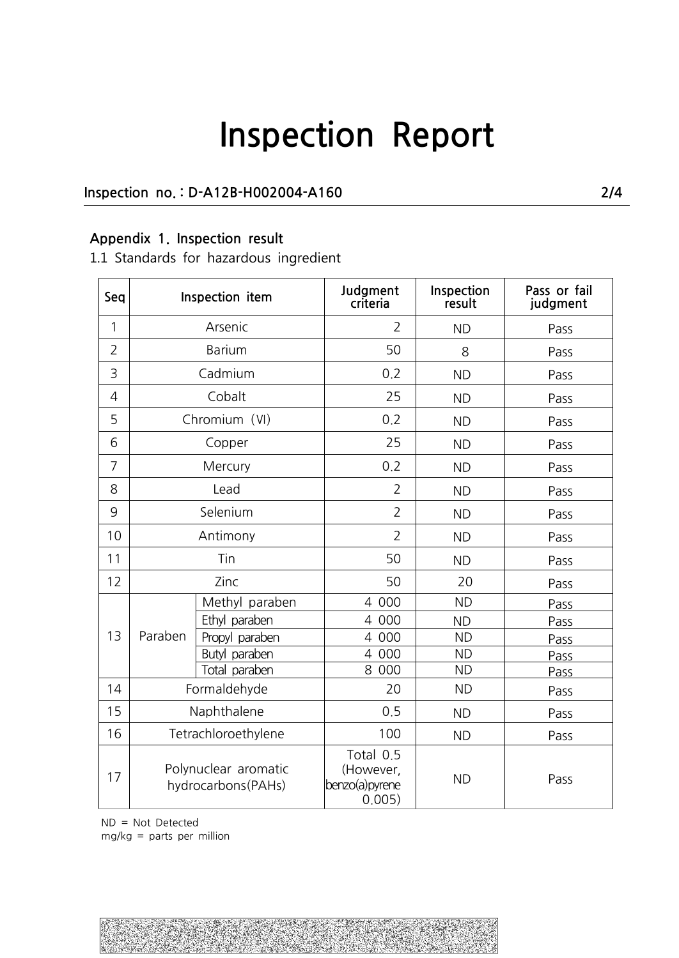### **Inspection no. : D-A12B-H002004-A160 2/4**

### **Appendix 1. Inspection result**

1.1 Standards for hazardous ingredient

| Seq            |                                            | Inspection item | Judgment<br>criteria                                | Inspection<br>result | Pass or fail<br>judgment |
|----------------|--------------------------------------------|-----------------|-----------------------------------------------------|----------------------|--------------------------|
| 1              |                                            | Arsenic         | $\overline{2}$                                      | <b>ND</b>            | Pass                     |
| $\overline{2}$ | Barium                                     |                 | 50                                                  | 8                    | Pass                     |
| 3              |                                            | Cadmium         | 0.2                                                 | <b>ND</b>            | Pass                     |
| $\overline{4}$ |                                            | Cobalt          | 25                                                  | <b>ND</b>            | Pass                     |
| 5              |                                            | Chromium (VI)   | 0.2                                                 | <b>ND</b>            | Pass                     |
| 6              |                                            | Copper          | 25                                                  | <b>ND</b>            | Pass                     |
| $\overline{7}$ |                                            | Mercury         | 0.2                                                 | <b>ND</b>            | Pass                     |
| 8              |                                            | Lead            | $\overline{2}$                                      | <b>ND</b>            | Pass                     |
| 9              | Selenium<br>Antimony<br>Tin<br>Zinc        |                 | $\overline{2}$                                      | <b>ND</b>            | Pass                     |
| 10             |                                            |                 | $\overline{2}$                                      | <b>ND</b>            | Pass                     |
| 11             |                                            |                 | 50                                                  | <b>ND</b>            | Pass                     |
| 12             |                                            |                 | 50                                                  | 20                   | Pass                     |
|                | Paraben                                    | Methyl paraben  | 4 000                                               | <b>ND</b>            | Pass                     |
|                |                                            | Ethyl paraben   | 4 000                                               | <b>ND</b>            | Pass                     |
| 13             |                                            | Propyl paraben  | 4 000                                               | <b>ND</b>            | Pass                     |
|                |                                            | Butyl paraben   | 4 000                                               | <b>ND</b>            | Pass                     |
|                |                                            | Total paraben   | 8 000                                               | <b>ND</b>            | Pass                     |
| 14             | Formaldehyde                               |                 | 20                                                  | <b>ND</b>            | Pass                     |
| 15             | Naphthalene                                |                 | 0.5                                                 | <b>ND</b>            | Pass                     |
| 16             | Tetrachloroethylene                        |                 | 100                                                 | <b>ND</b>            | Pass                     |
| 17             | Polynuclear aromatic<br>hydrocarbons(PAHs) |                 | Total 0.5<br>(However,<br>benzo(a) pyrene<br>0.005) | <b>ND</b>            | Pass                     |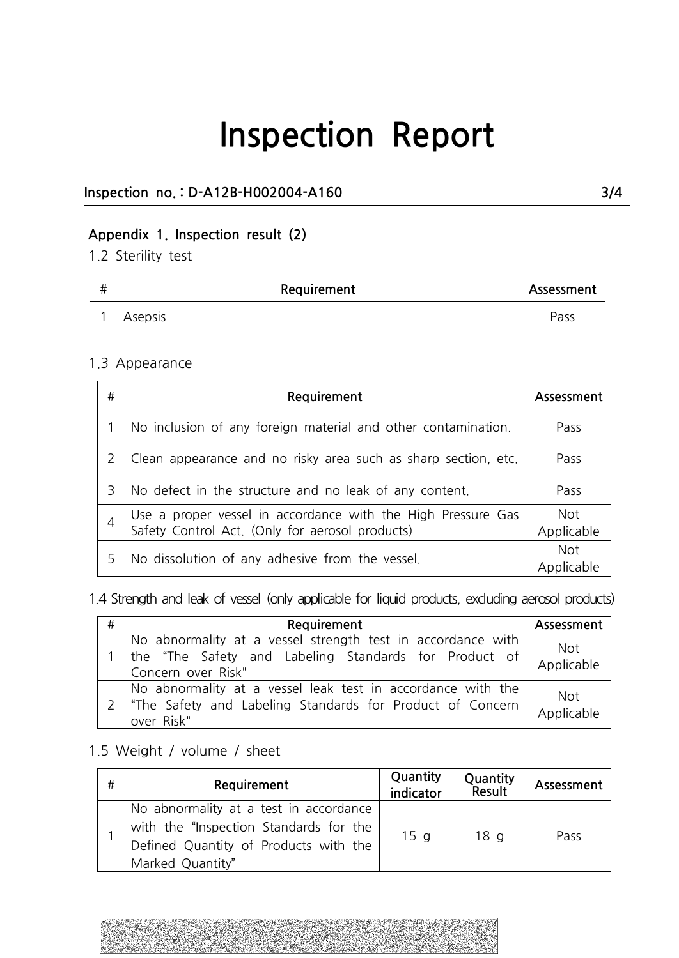### **Inspection no. : D-A12B-H002004-A160 3/4**

## **Appendix 1. Inspection result (2)**

1.2 Sterility test

| # | Requirement | Assessment |  |
|---|-------------|------------|--|
|   | Asepsis     | Pass       |  |

#### 1.3 Appearance

| # | Requirement                                                                                                     | Assessment               |
|---|-----------------------------------------------------------------------------------------------------------------|--------------------------|
|   | No inclusion of any foreign material and other contamination.                                                   | Pass                     |
|   | Clean appearance and no risky area such as sharp section, etc.                                                  | Pass                     |
| 3 | No defect in the structure and no leak of any content.                                                          | Pass                     |
|   | Use a proper vessel in accordance with the High Pressure Gas<br>Safety Control Act. (Only for aerosol products) | <b>Not</b><br>Applicable |
|   | No dissolution of any adhesive from the vessel.                                                                 | <b>Not</b><br>Applicable |

1.4 Strength and leak of vessel (only applicable for liquid products, excluding aerosol products)

| # | Requirement                                                                                                                                | Assessment               |
|---|--------------------------------------------------------------------------------------------------------------------------------------------|--------------------------|
|   | No abnormality at a vessel strength test in accordance with<br>the "The Safety and Labeling Standards for Product of<br>Concern over Risk" | Not<br>Applicable        |
|   | No abnormality at a vessel leak test in accordance with the<br>"The Safety and Labeling Standards for Product of Concern<br>over Risk"     | <b>Not</b><br>Applicable |

## 1.5 Weight / volume / sheet

|   | "The Safety and Labeling Standards for Product of Concern<br>over Risk"                                                                       |                       |                    | Applicable |
|---|-----------------------------------------------------------------------------------------------------------------------------------------------|-----------------------|--------------------|------------|
|   | .5 Weight / volume / sheet                                                                                                                    |                       |                    |            |
| # | Requirement                                                                                                                                   | Quantity<br>indicator | Quantity<br>Result | Assessment |
|   | No abnormality at a test in accordance<br>with the "Inspection Standards for the<br>Defined Quantity of Products with the<br>Marked Quantity" | 15 <sub>g</sub>       | 18 <sub>q</sub>    | Pass       |